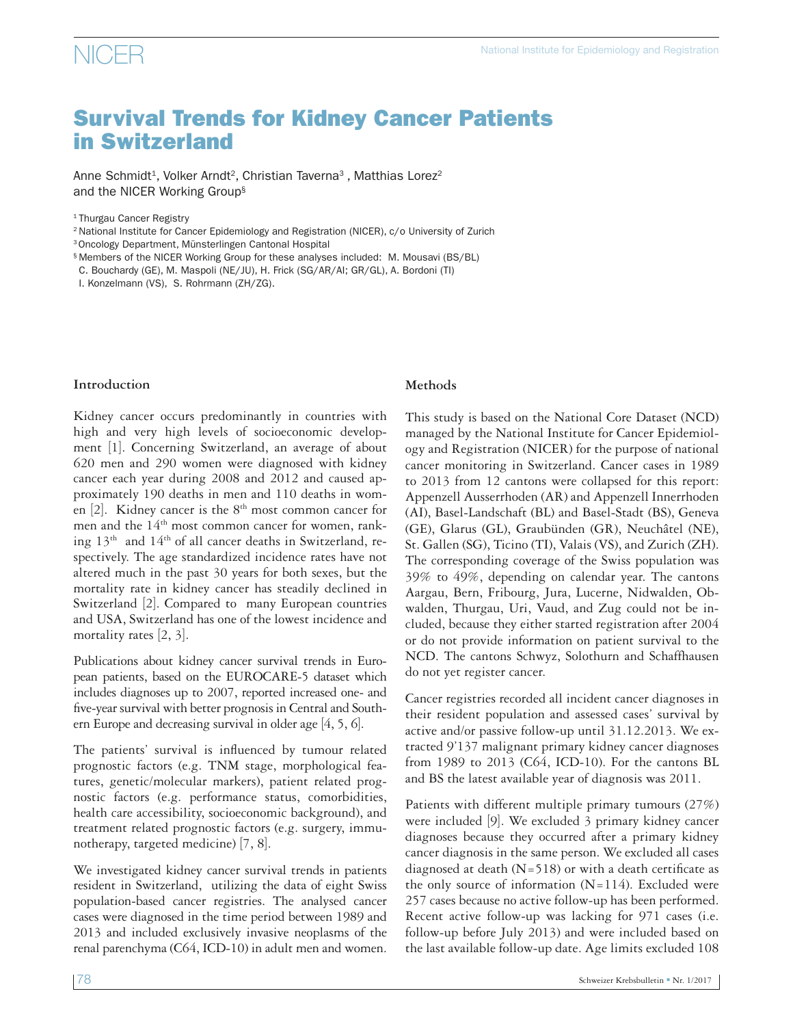# Survival Trends for Kidney Cancer Patients in Switzerland

Anne Schmidt<sup>1</sup>, Volker Arndt<sup>2</sup>, Christian Taverna<sup>3</sup>, Matthias Lorez<sup>2</sup> and the NICER Working Group§

<sup>1</sup> Thurgau Cancer Registry

2 National Institute for Cancer Epidemiology and Registration (NICER), c/o University of Zurich

3Oncology Department, Münsterlingen Cantonal Hospital

§ Members of the NICER Working Group for these analyses included: M. Mousavi (BS/BL) C. Bouchardy (GE), M. Maspoli (NE/JU), H. Frick (SG/AR/AI; GR/GL), A. Bordoni (TI)

I. Konzelmann (VS), S. Rohrmann (ZH/ZG).

#### **Introduction**

Kidney cancer occurs predominantly in countries with high and very high levels of socioeconomic development [1]. Concerning Switzerland, an average of about 620 men and 290 women were diagnosed with kidney cancer each year during 2008 and 2012 and caused approximately 190 deaths in men and 110 deaths in women  $[2]$ . Kidney cancer is the  $8<sup>th</sup>$  most common cancer for men and the 14<sup>th</sup> most common cancer for women, ranking  $13<sup>th</sup>$  and  $14<sup>th</sup>$  of all cancer deaths in Switzerland, respectively. The age standardized incidence rates have not altered much in the past 30 years for both sexes, but the mortality rate in kidney cancer has steadily declined in Switzerland [2]. Compared to many European countries and USA, Switzerland has one of the lowest incidence and mortality rates [2, 3].

Publications about kidney cancer survival trends in European patients, based on the EUROCARE-5 dataset which includes diagnoses up to 2007, reported increased one- and five-year survival with better prognosis in Central and Southern Europe and decreasing survival in older age [4, 5, 6].

The patients' survival is influenced by tumour related prognostic factors (e.g. TNM stage, morphological features, genetic/molecular markers), patient related prognostic factors (e.g. performance status, comorbidities, health care accessibility, socioeconomic background), and treatment related prognostic factors (e.g. surgery, immunotherapy, targeted medicine) [7, 8].

We investigated kidney cancer survival trends in patients resident in Switzerland, utilizing the data of eight Swiss population-based cancer registries. The analysed cancer cases were diagnosed in the time period between 1989 and 2013 and included exclusively invasive neoplasms of the renal parenchyma (C64, ICD-10) in adult men and women.

#### **Methods**

This study is based on the National Core Dataset (NCD) managed by the National Institute for Cancer Epidemiology and Registration (NICER) for the purpose of national cancer monitoring in Switzerland. Cancer cases in 1989 to 2013 from 12 cantons were collapsed for this report: Appenzell Ausserrhoden (AR) and Appenzell Innerrhoden (AI), Basel-Landschaft (BL) and Basel-Stadt (BS), Geneva (GE), Glarus (GL), Graubünden (GR), Neuchâtel (NE), St. Gallen (SG), Ticino (TI), Valais (VS), and Zurich (ZH). The corresponding coverage of the Swiss population was 39% to 49%, depending on calendar year. The cantons Aargau, Bern, Fribourg, Jura, Lucerne, Nidwalden, Obwalden, Thurgau, Uri, Vaud, and Zug could not be included, because they either started registration after 2004 or do not provide information on patient survival to the NCD. The cantons Schwyz, Solothurn and Schaffhausen do not yet register cancer.

Cancer registries recorded all incident cancer diagnoses in their resident population and assessed cases' survival by active and/or passive follow-up until 31.12.2013. We extracted 9'137 malignant primary kidney cancer diagnoses from 1989 to 2013 (C64, ICD-10). For the cantons BL and BS the latest available year of diagnosis was 2011.

Patients with different multiple primary tumours (27%) were included [9]. We excluded 3 primary kidney cancer diagnoses because they occurred after a primary kidney cancer diagnosis in the same person. We excluded all cases diagnosed at death  $(N=518)$  or with a death certificate as the only source of information  $(N=114)$ . Excluded were 257 cases because no active follow-up has been performed. Recent active follow-up was lacking for 971 cases (i.e. follow-up before July 2013) and were included based on the last available follow-up date. Age limits excluded 108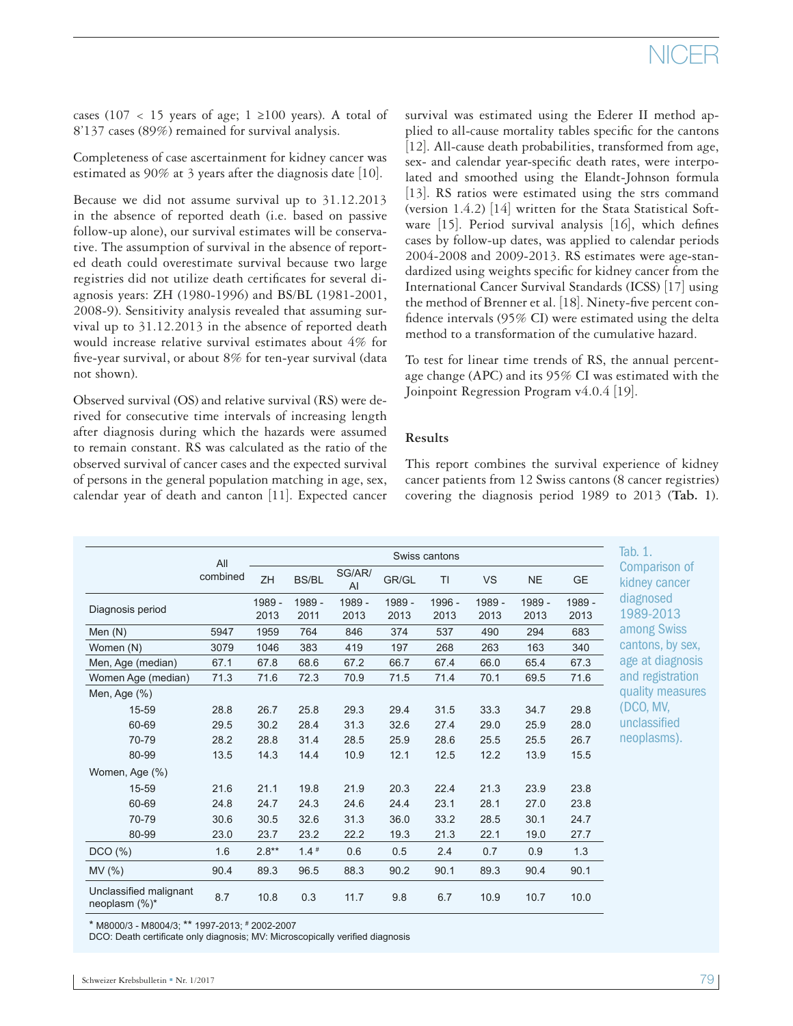# NICER

cases (107 < 15 years of age; 1 ≥100 years). A total of 8'137 cases (89%) remained for survival analysis.

Completeness of case ascertainment for kidney cancer was estimated as 90% at 3 years after the diagnosis date [10].

Because we did not assume survival up to 31.12.2013 in the absence of reported death (i.e. based on passive follow-up alone), our survival estimates will be conservative. The assumption of survival in the absence of reported death could overestimate survival because two large registries did not utilize death certificates for several diagnosis years: ZH (1980-1996) and BS/BL (1981-2001, 2008-9). Sensitivity analysis revealed that assuming survival up to 31.12.2013 in the absence of reported death would increase relative survival estimates about 4% for five-year survival, or about 8% for ten-year survival (data not shown).

Observed survival (OS) and relative survival (RS) were derived for consecutive time intervals of increasing length after diagnosis during which the hazards were assumed to remain constant. RS was calculated as the ratio of the observed survival of cancer cases and the expected survival of persons in the general population matching in age, sex, calendar year of death and canton [11]. Expected cancer survival was estimated using the Ederer II method applied to all-cause mortality tables specific for the cantons [12]. All-cause death probabilities, transformed from age, sex- and calendar year-specific death rates, were interpolated and smoothed using the Elandt-Johnson formula [13]. RS ratios were estimated using the strs command (version 1.4.2) [14] written for the Stata Statistical Software [15]. Period survival analysis [16], which defines cases by follow-up dates, was applied to calendar periods 2004-2008 and 2009-2013. RS estimates were age-standardized using weights specific for kidney cancer from the International Cancer Survival Standards (ICSS) [17] using the method of Brenner et al. [18]. Ninety-five percent confidence intervals (95% CI) were estimated using the delta method to a transformation of the cumulative hazard.

To test for linear time trends of RS, the annual percentage change (APC) and its 95% CI was estimated with the Joinpoint Regression Program v4.0.4 [19].

### **Results**

This report combines the survival experience of kidney cancer patients from 12 Swiss cantons (8 cancer registries) covering the diagnosis period 1989 to 2013 (**Tab. 1**).

|                                         | Swiss cantons |                |                |                          |                |                |                |                |                |                        |  |  |  |
|-----------------------------------------|---------------|----------------|----------------|--------------------------|----------------|----------------|----------------|----------------|----------------|------------------------|--|--|--|
|                                         | All           |                |                | Tab. 1.<br>Comparison of |                |                |                |                |                |                        |  |  |  |
|                                         | combined      | ZH             | <b>BS/BL</b>   | SG/AR/<br>AI             | GR/GL          | TI             | VS             | <b>NE</b>      | GE             | kidney cancer          |  |  |  |
| Diagnosis period                        |               | 1989 -<br>2013 | 1989 -<br>2011 | 1989 -<br>2013           | 1989 -<br>2013 | 1996 -<br>2013 | 1989 -<br>2013 | 1989 -<br>2013 | 1989 -<br>2013 | diagnosed<br>1989-2013 |  |  |  |
| Men $(N)$                               | 5947          | 1959           | 764            | 846                      | 374            | 537            | 490            | 294            | 683            | among Swiss            |  |  |  |
| Women (N)                               | 3079          | 1046           | 383            | 419                      | 197            | 268            | 263            | 163            | 340            | cantons, by sex,       |  |  |  |
| Men, Age (median)                       | 67.1          | 67.8           | 68.6           | 67.2                     | 66.7           | 67.4           | 66.0           | 65.4           | 67.3           | age at diagnosis       |  |  |  |
| Women Age (median)                      | 71.3          | 71.6           | 72.3           | 70.9                     | 71.5           | 71.4           | 70.1           | 69.5           | 71.6           | and registration       |  |  |  |
| Men, Age (%)                            |               |                |                |                          |                |                |                |                |                | quality measures       |  |  |  |
| 15-59                                   | 28.8          | 26.7           | 25.8           | 29.3                     | 29.4           | 31.5           | 33.3           | 34.7           | 29.8           | (DCO, MV,              |  |  |  |
| 60-69                                   | 29.5          | 30.2           | 28.4           | 31.3                     | 32.6           | 27.4           | 29.0           | 25.9           | 28.0           | unclassified           |  |  |  |
| 70-79                                   | 28.2          | 28.8           | 31.4           | 28.5                     | 25.9           | 28.6           | 25.5           | 25.5           | 26.7           | neoplasms).            |  |  |  |
| 80-99                                   | 13.5          | 14.3           | 14.4           | 10.9                     | 12.1           | 12.5           | 12.2           | 13.9           | 15.5           |                        |  |  |  |
| Women, Age (%)                          |               |                |                |                          |                |                |                |                |                |                        |  |  |  |
| 15-59                                   | 21.6          | 21.1           | 19.8           | 21.9                     | 20.3           | 22.4           | 21.3           | 23.9           | 23.8           |                        |  |  |  |
| 60-69                                   | 24.8          | 24.7           | 24.3           | 24.6                     | 24.4           | 23.1           | 28.1           | 27.0           | 23.8           |                        |  |  |  |
| 70-79                                   | 30.6          | 30.5           | 32.6           | 31.3                     | 36.0           | 33.2           | 28.5           | 30.1           | 24.7           |                        |  |  |  |
| 80-99                                   | 23.0          | 23.7           | 23.2           | 22.2                     | 19.3           | 21.3           | 22.1           | 19.0           | 27.7           |                        |  |  |  |
| DCO(%)                                  | 1.6           | $2.8**$        | $1.4*$         | 0.6                      | 0.5            | 2.4            | 0.7            | 0.9            | 1.3            |                        |  |  |  |
| MV (%)                                  | 90.4          | 89.3           | 96.5           | 88.3                     | 90.2           | 90.1           | 89.3           | 90.4           | 90.1           |                        |  |  |  |
| Unclassified malignant<br>neoplasm (%)* | 8.7           | 10.8           | 0.3            | 11.7                     | 9.8            | 6.7            | 10.9           | 10.7           | 10.0           |                        |  |  |  |

\* M8000/3 - M8004/3; \*\* 1997-2013; # 2002-2007

DCO: Death certificate only diagnosis; MV: Microscopically verified diagnosis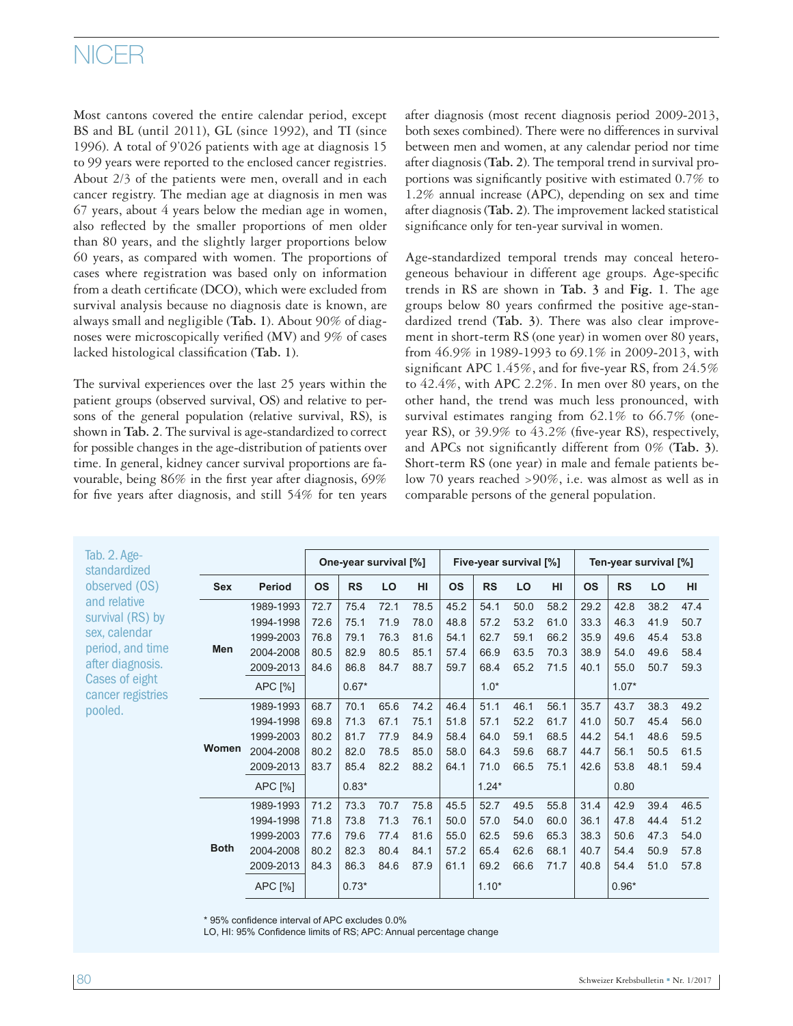# NICER

Most cantons covered the entire calendar period, except BS and BL (until 2011), GL (since 1992), and TI (since 1996). A total of 9'026 patients with age at diagnosis 15 to 99 years were reported to the enclosed cancer registries. About 2/3 of the patients were men, overall and in each cancer registry. The median age at diagnosis in men was 67 years, about 4 years below the median age in women, also reflected by the smaller proportions of men older than 80 years, and the slightly larger proportions below 60 years, as compared with women. The proportions of cases where registration was based only on information from a death certificate (DCO), which were excluded from survival analysis because no diagnosis date is known, are always small and negligible (**Tab. 1**). About 90% of diagnoses were microscopically verified (MV) and 9% of cases lacked histological classification (**Tab. 1**).

The survival experiences over the last 25 years within the patient groups (observed survival, OS) and relative to persons of the general population (relative survival, RS), is shown in **Tab. 2**. The survival is age-standardized to correct for possible changes in the age-distribution of patients over time. In general, kidney cancer survival proportions are favourable, being 86% in the first year after diagnosis, 69% for five years after diagnosis, and still 54% for ten years

after diagnosis (most recent diagnosis period 2009-2013, both sexes combined). There were no differences in survival between men and women, at any calendar period nor time after diagnosis (**Tab. 2**). The temporal trend in survival proportions was significantly positive with estimated 0.7% to 1.2% annual increase (APC), depending on sex and time after diagnosis (**Tab. 2**). The improvement lacked statistical significance only for ten-year survival in women.

Age-standardized temporal trends may conceal heterogeneous behaviour in different age groups. Age-specific trends in RS are shown in **Tab. 3** and **Fig. 1**. The age groups below 80 years confirmed the positive age-standardized trend (**Tab. 3**). There was also clear improvement in short-term RS (one year) in women over 80 years, from 46.9% in 1989-1993 to 69.1% in 2009-2013, with significant APC 1.45%, and for five-year RS, from 24.5% to 42.4%, with APC 2.2%. In men over 80 years, on the other hand, the trend was much less pronounced, with survival estimates ranging from 62.1% to 66.7% (oneyear RS), or 39.9% to 43.2% (five-year RS), respectively, and APCs not significantly different from 0% (**Tab. 3**). Short-term RS (one year) in male and female patients below 70 years reached >90%, i.e. was almost as well as in comparable persons of the general population.

| Tab. 2. Age-<br>standardized                                                                                                                                 |             |               |           | One-year survival [%] |      |      |           | Five-year survival [%] |      |      | Ten-year survival [%] |           |      |      |  |
|--------------------------------------------------------------------------------------------------------------------------------------------------------------|-------------|---------------|-----------|-----------------------|------|------|-----------|------------------------|------|------|-----------------------|-----------|------|------|--|
| observed (OS)<br>and relative<br>survival (RS) by<br>sex, calendar<br>period, and time<br>after diagnosis.<br>Cases of eight<br>cancer registries<br>pooled. | Sex         | <b>Period</b> | <b>OS</b> | <b>RS</b>             | LO   | HI   | <b>OS</b> | <b>RS</b>              | LO   | HI   | <b>OS</b>             | <b>RS</b> | LO   | HI   |  |
|                                                                                                                                                              |             | 1989-1993     | 72.7      | 75.4                  | 72.1 | 78.5 | 45.2      | 54.1                   | 50.0 | 58.2 | 29.2                  | 42.8      | 38.2 | 47.4 |  |
|                                                                                                                                                              |             | 1994-1998     | 72.6      | 75.1                  | 71.9 | 78.0 | 48.8      | 57.2                   | 53.2 | 61.0 | 33.3                  | 46.3      | 41.9 | 50.7 |  |
|                                                                                                                                                              |             | 1999-2003     | 76.8      | 79.1                  | 76.3 | 81.6 | 54.1      | 62.7                   | 59.1 | 66.2 | 35.9                  | 49.6      | 45.4 | 53.8 |  |
|                                                                                                                                                              | Men         | 2004-2008     | 80.5      | 82.9                  | 80.5 | 85.1 | 57.4      | 66.9                   | 63.5 | 70.3 | 38.9                  | 54.0      | 49.6 | 58.4 |  |
|                                                                                                                                                              |             | 2009-2013     | 84.6      | 86.8                  | 84.7 | 88.7 | 59.7      | 68.4                   | 65.2 | 71.5 | 40.1                  | 55.0      | 50.7 | 59.3 |  |
|                                                                                                                                                              |             | APC [%]       |           | $0.67*$               |      |      |           | $1.0*$                 |      |      |                       | $1.07*$   |      |      |  |
|                                                                                                                                                              |             | 1989-1993     | 68.7      | 70.1                  | 65.6 | 74.2 | 46.4      | 51.1                   | 46.1 | 56.1 | 35.7                  | 43.7      | 38.3 | 49.2 |  |
|                                                                                                                                                              |             | 1994-1998     | 69.8      | 71.3                  | 67.1 | 75.1 | 51.8      | 57.1                   | 52.2 | 61.7 | 41.0                  | 50.7      | 45.4 | 56.0 |  |
|                                                                                                                                                              |             | 1999-2003     | 80.2      | 81.7                  | 77.9 | 84.9 | 58.4      | 64.0                   | 59.1 | 68.5 | 44.2                  | 54.1      | 48.6 | 59.5 |  |
|                                                                                                                                                              | Women       | 2004-2008     | 80.2      | 82.0                  | 78.5 | 85.0 | 58.0      | 64.3                   | 59.6 | 68.7 | 44.7                  | 56.1      | 50.5 | 61.5 |  |
|                                                                                                                                                              |             | 2009-2013     | 83.7      | 85.4                  | 82.2 | 88.2 | 64.1      | 71.0                   | 66.5 | 75.1 | 42.6                  | 53.8      | 48.1 | 59.4 |  |
|                                                                                                                                                              |             | APC [%]       |           | $0.83*$               |      |      |           | $1.24*$                |      |      |                       | 0.80      |      |      |  |
|                                                                                                                                                              |             | 1989-1993     | 71.2      | 73.3                  | 70.7 | 75.8 | 45.5      | 52.7                   | 49.5 | 55.8 | 31.4                  | 42.9      | 39.4 | 46.5 |  |
|                                                                                                                                                              |             | 1994-1998     | 71.8      | 73.8                  | 71.3 | 76.1 | 50.0      | 57.0                   | 54.0 | 60.0 | 36.1                  | 47.8      | 44.4 | 51.2 |  |
|                                                                                                                                                              |             | 1999-2003     | 77.6      | 79.6                  | 77.4 | 81.6 | 55.0      | 62.5                   | 59.6 | 65.3 | 38.3                  | 50.6      | 47.3 | 54.0 |  |
|                                                                                                                                                              | <b>Both</b> | 2004-2008     | 80.2      | 82.3                  | 80.4 | 84.1 | 57.2      | 65.4                   | 62.6 | 68.1 | 40.7                  | 54.4      | 50.9 | 57.8 |  |
|                                                                                                                                                              |             | 2009-2013     | 84.3      | 86.3                  | 84.6 | 87.9 | 61.1      | 69.2                   | 66.6 | 71.7 | 40.8                  | 54.4      | 51.0 | 57.8 |  |
|                                                                                                                                                              |             | APC [%]       |           | $0.73*$               |      |      |           | $1.10*$                |      |      |                       | $0.96*$   |      |      |  |

\* 95% confidence interval of APC excludes 0.0%

LO, HI: 95% Confidence limits of RS; APC: Annual percentage change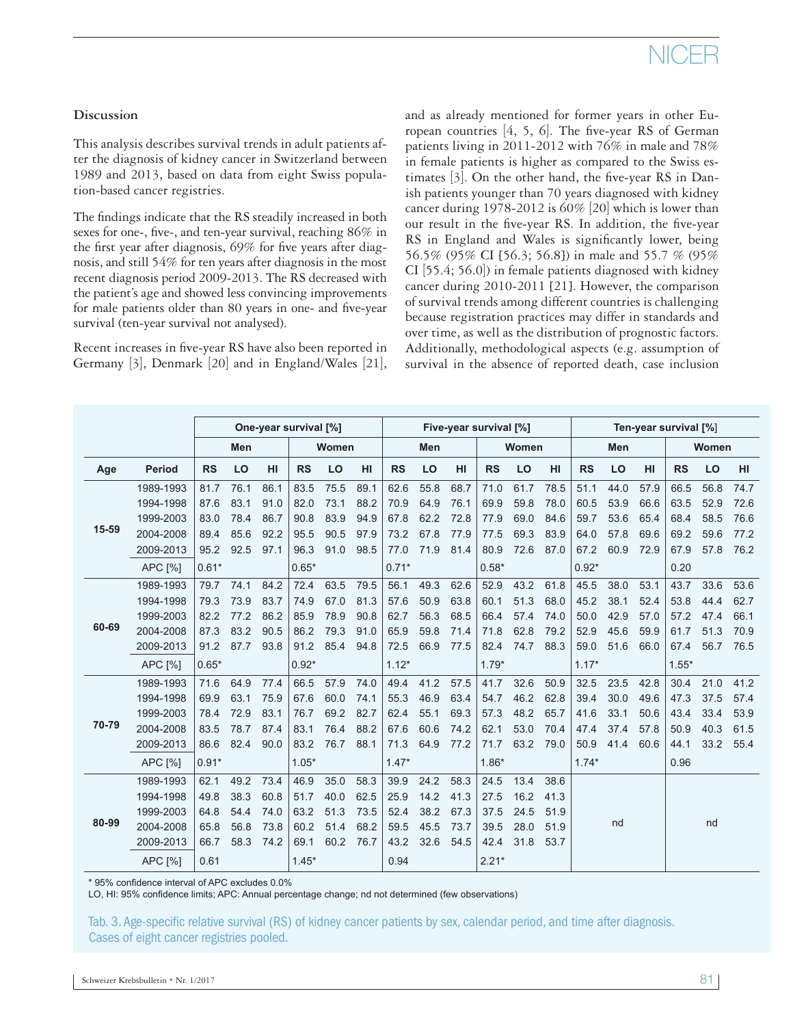# NICEI

## **Discussion**

This analysis describes survival trends in adult patients after the diagnosis of kidney cancer in Switzerland between 1989 and 2013, based on data from eight Swiss population-based cancer registries.

The findings indicate that the RS steadily increased in both sexes for one-, five-, and ten-year survival, reaching 86% in the first year after diagnosis, 69% for five years after diagnosis, and still 54% for ten years after diagnosis in the most recent diagnosis period 2009-2013. The RS decreased with the patient's age and showed less convincing improvements for male patients older than 80 years in one- and five-year survival (ten-year survival not analysed).

Recent increases in five-year RS have also been reported in Germany [3], Denmark [20] and in England/Wales [21], and as already mentioned for former years in other European countries  $[4, 5, 6]$ . The five-year RS of German patients living in 2011-2012 with 76% in male and 78% in female patients is higher as compared to the Swiss estimates [3]. On the other hand, the five-year RS in Danish patients younger than 70 years diagnosed with kidney cancer during 1978-2012 is 60% [20] which is lower than our result in the five-year RS. In addition, the five-year RS in England and Wales is significantly lower, being 56.5% (95% CI [56.3; 56.8]) in male and 55.7 % (95% CI [55.4; 56.0]) in female patients diagnosed with kidney cancer during 2010-2011 [21]. However, the comparison of survival trends among different countries is challenging because registration practices may differ in standards and over time, as well as the distribution of prognostic factors. Additionally, methodological aspects (e.g. assumption of survival in the absence of reported death, case inclusion

|       |                | One-year survival [%] |      |      |           |      |      |           | Five-year survival [%] |      |           |      |      |           | Ten-year survival [%] |      |           |      |      |  |  |  |
|-------|----------------|-----------------------|------|------|-----------|------|------|-----------|------------------------|------|-----------|------|------|-----------|-----------------------|------|-----------|------|------|--|--|--|
|       |                | Men                   |      |      | Women     |      |      | Men       |                        |      | Women     |      |      | Men       |                       |      | Women     |      |      |  |  |  |
| Age   | <b>Period</b>  | <b>RS</b>             | LO   | HI   | <b>RS</b> | LO   | HI   | <b>RS</b> | LO                     | HI   | <b>RS</b> | LO   | HI   | <b>RS</b> | LO                    | HI   | <b>RS</b> | LO   | HI   |  |  |  |
|       | 1989-1993      | 81.7                  | 76.1 | 86.1 | 83.5      | 75.5 | 89.1 | 62.6      | 55.8                   | 68.7 | 71.0      | 61.7 | 78.5 | 51.1      | 44.0                  | 57.9 | 66.5      | 56.8 | 74.7 |  |  |  |
|       | 1994-1998      | 87.6                  | 83.1 | 91.0 | 82.0      | 73.1 | 88.2 | 70.9      | 64.9                   | 76.1 | 69.9      | 59.8 | 78.0 | 60.5      | 53.9                  | 66.6 | 63.5      | 52.9 | 72.6 |  |  |  |
|       | 1999-2003      | 83.0                  | 78.4 | 86.7 | 90.8      | 83.9 | 94.9 | 67.8      | 62.2                   | 72.8 | 77.9      | 69.0 | 84.6 | 59.7      | 53.6                  | 65.4 | 68.4      | 58.5 | 76.6 |  |  |  |
| 15-59 | 2004-2008      | 89.4                  | 85.6 | 92.2 | 95.5      | 90.5 | 97.9 | 73.2      | 67.8                   | 77.9 | 77.5      | 69.3 | 83.9 | 64.0      | 57.8                  | 69.6 | 69.2      | 59.6 | 77.2 |  |  |  |
|       | 2009-2013      | 95.2                  | 92.5 | 97.1 | 96.3      | 91.0 | 98.5 | 77.0      | 71.9                   | 81.4 | 80.9      | 72.6 | 87.0 | 67.2      | 60.9                  | 72.9 | 67.9      | 57.8 | 76.2 |  |  |  |
|       | APC [%]        | $0.61*$               |      |      | $0.65*$   |      |      | $0.71*$   |                        |      | $0.58*$   |      |      | $0.92*$   |                       |      | 0.20      |      |      |  |  |  |
| 60-69 | 1989-1993      | 79.7                  | 74.1 | 84.2 | 72.4      | 63.5 | 79.5 | 56.1      | 49.3                   | 62.6 | 52.9      | 43.2 | 61.8 | 45.5      | 38.0                  | 53.1 | 43.7      | 33.6 | 53.6 |  |  |  |
|       | 1994-1998      | 79.3                  | 73.9 | 83.7 | 74.9      | 67.0 | 81.3 | 57.6      | 50.9                   | 63.8 | 60.1      | 51.3 | 68.0 | 45.2      | 38.1                  | 52.4 | 53.8      | 44.4 | 62.7 |  |  |  |
|       | 1999-2003      | 82.2                  | 77.2 | 86.2 | 85.9      | 78.9 | 90.8 | 62.7      | 56.3                   | 68.5 | 66.4      | 57.4 | 74.0 | 50.0      | 42.9                  | 57.0 | 57.2      | 47.4 | 66.1 |  |  |  |
|       | 2004-2008      | 87.3                  | 83.2 | 90.5 | 86.2      | 79.3 | 91.0 | 65.9      | 59.8                   | 71.4 | 71.8      | 62.8 | 79.2 | 52.9      | 45.6                  | 59.9 | 61.7      | 51.3 | 70.9 |  |  |  |
|       | 2009-2013      | 91.2                  | 87.7 | 93.8 | 91.2      | 85.4 | 94.8 | 72.5      | 66.9                   | 77.5 | 82.4      | 74.7 | 88.3 | 59.0      | 51.6                  | 66.0 | 67.4      | 56.7 | 76.5 |  |  |  |
|       | APC [%]        | $0.65*$               |      |      | $0.92*$   |      |      | $1.12*$   |                        |      | $1.79*$   |      |      | $1.17*$   |                       |      | $1.55*$   |      |      |  |  |  |
|       | 1989-1993      | 71.6                  | 64.9 | 77.4 | 66.5      | 57.9 | 74.0 | 49.4      | 41.2                   | 57.5 | 41.7      | 32.6 | 50.9 | 32.5      | 23.5                  | 42.8 | 30.4      | 21.0 | 41.2 |  |  |  |
|       | 1994-1998      | 69.9                  | 63.1 | 75.9 | 67.6      | 60.0 | 74.1 | 55.3      | 46.9                   | 63.4 | 54.7      | 46.2 | 62.8 | 39.4      | 30.0                  | 49.6 | 47.3      | 37.5 | 57.4 |  |  |  |
|       | 1999-2003      | 78.4                  | 72.9 | 83.1 | 76.7      | 69.2 | 82.7 | 62.4      | 55.1                   | 69.3 | 57.3      | 48.2 | 65.7 | 41.6      | 33.1                  | 50.6 | 43.4      | 33.4 | 53.9 |  |  |  |
| 70-79 | 2004-2008      | 83.5                  | 78.7 | 87.4 | 83.1      | 76.4 | 88.2 | 67.6      | 60.6                   | 74.2 | 62.1      | 53.0 | 70.4 | 47.4      | 37.4                  | 57.8 | 50.9      | 40.3 | 61.5 |  |  |  |
|       | 2009-2013      | 86.6                  | 82.4 | 90.0 | 83.2      | 76.7 | 88.1 | 71.3      | 64.9                   | 77.2 | 71.7      | 63.2 | 79.0 | 50.9      | 41.4                  | 60.6 | 44.1      | 33.2 | 55.4 |  |  |  |
|       | APC [%]        | $0.91*$               |      |      | $1.05*$   |      |      | $1.47*$   |                        |      | $1.86*$   |      |      | $1.74*$   |                       |      | 0.96      |      |      |  |  |  |
|       | 1989-1993      | 62.1                  | 49.2 | 73.4 | 46.9      | 35.0 | 58.3 | 39.9      | 24.2                   | 58.3 | 24.5      | 13.4 | 38.6 |           |                       |      |           |      |      |  |  |  |
|       | 1994-1998      | 49.8                  | 38.3 | 60.8 | 51.7      | 40.0 | 62.5 | 25.9      | 14.2                   | 41.3 | 27.5      | 16.2 | 41.3 |           |                       |      |           |      |      |  |  |  |
|       | 1999-2003      | 64.8                  | 54.4 | 74.0 | 63.2      | 51.3 | 73.5 | 52.4      | 38.2                   | 67.3 | 37.5      | 24.5 | 51.9 |           |                       |      |           |      |      |  |  |  |
| 80-99 | 2004-2008      | 65.8                  | 56.8 | 73.8 | 60.2      | 51.4 | 68.2 | 59.5      | 45.5                   | 73.7 | 39.5      | 28.0 | 51.9 |           | nd                    |      |           | nd   |      |  |  |  |
|       | 2009-2013      | 66.7                  | 58.3 | 74.2 | 69.1      | 60.2 | 76.7 | 43.2      | 32.6                   | 54.5 | 42.4      | 31.8 | 53.7 |           |                       |      |           |      |      |  |  |  |
|       | <b>APC [%]</b> | 0.61                  |      |      | $1.45*$   |      |      | 0.94      |                        |      | $2.21*$   |      |      |           |                       |      |           |      |      |  |  |  |

\* 95% confidence interval of APC excludes 0.0%

LO, HI: 95% confidence limits; APC: Annual percentage change; nd not determined (few observations)

Tab. 3. Age-specific relative survival (RS) of kidney cancer patients by sex, calendar period, and time after diagnosis. Cases of eight cancer registries pooled.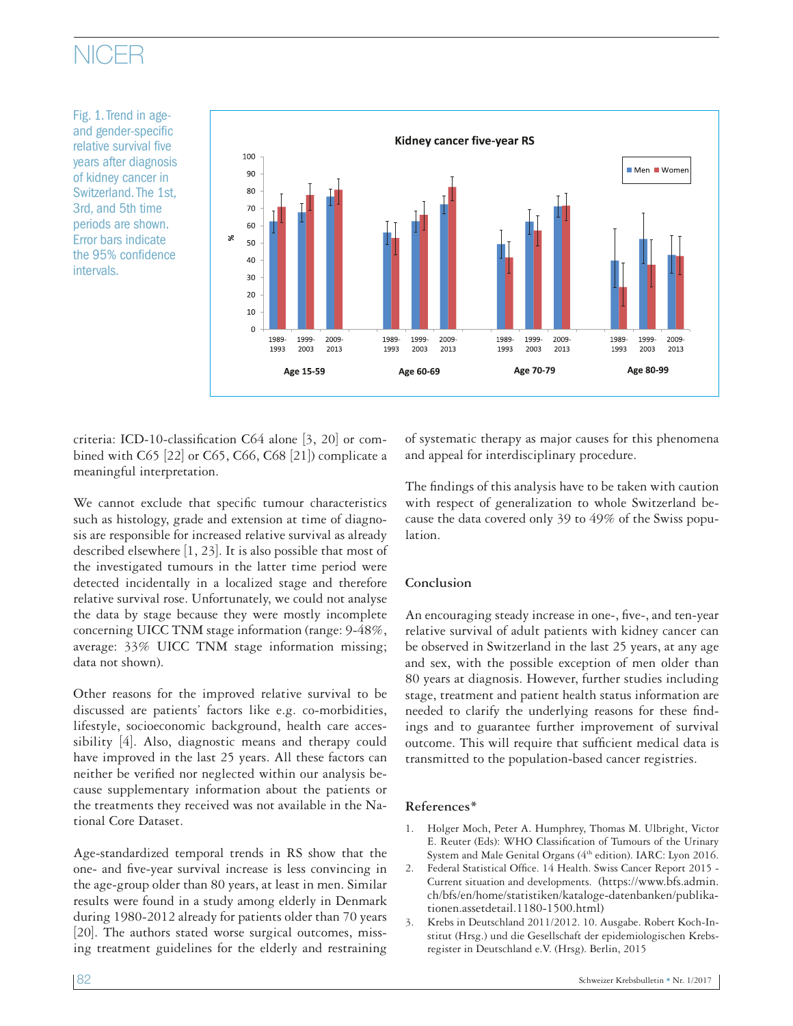# NICER

Fig. 1. Trend in ageand gender-specific relative survival five years after diagnosis of kidney cancer in Switzerland. The 1st, 3rd, and 5th time periods are shown. Error bars indicate the 95% confidence intervals.



criteria: ICD-10-classification C64 alone [3, 20] or combined with C65 [22] or C65, C66, C68 [21]) complicate a meaningful interpretation.

We cannot exclude that specific tumour characteristics such as histology, grade and extension at time of diagnosis are responsible for increased relative survival as already described elsewhere [1, 23]. It is also possible that most of the investigated tumours in the latter time period were detected incidentally in a localized stage and therefore relative survival rose. Unfortunately, we could not analyse the data by stage because they were mostly incomplete concerning UICC TNM stage information (range: 9-48%, average: 33% UICC TNM stage information missing; data not shown).

Other reasons for the improved relative survival to be discussed are patients' factors like e.g. co-morbidities, lifestyle, socioeconomic background, health care accessibility [4]. Also, diagnostic means and therapy could have improved in the last 25 years. All these factors can neither be verified nor neglected within our analysis because supplementary information about the patients or the treatments they received was not available in the National Core Dataset.

Age-standardized temporal trends in RS show that the one- and five-year survival increase is less convincing in the age-group older than 80 years, at least in men. Similar results were found in a study among elderly in Denmark during 1980-2012 already for patients older than 70 years [20]. The authors stated worse surgical outcomes, missing treatment guidelines for the elderly and restraining

of systematic therapy as major causes for this phenomena and appeal for interdisciplinary procedure.

The findings of this analysis have to be taken with caution with respect of generalization to whole Switzerland because the data covered only 39 to 49% of the Swiss population.

### **Conclusion**

An encouraging steady increase in one-, five-, and ten-year relative survival of adult patients with kidney cancer can be observed in Switzerland in the last 25 years, at any age and sex, with the possible exception of men older than 80 years at diagnosis. However, further studies including stage, treatment and patient health status information are needed to clarify the underlying reasons for these findings and to guarantee further improvement of survival outcome. This will require that sufficient medical data is transmitted to the population-based cancer registries.

### **References\***

- 1. Holger Moch, Peter A. Humphrey, Thomas M. Ulbright, Victor E. Reuter (Eds): WHO Classification of Tumours of the Urinary System and Male Genital Organs (4<sup>th</sup> edition). IARC: Lyon 2016.
- 2. Federal Statistical Office. 14 Health. Swiss Cancer Report 2015 Current situation and developments. (https://www.bfs.admin. ch/bfs/en/home/statistiken/kataloge-datenbanken/publikationen.assetdetail.1180-1500.html)
- 3. Krebs in Deutschland 2011/2012. 10. Ausgabe. Robert Koch-Institut (Hrsg.) und die Gesellschaft der epidemiologischen Krebsregister in Deutschland e.V. (Hrsg). Berlin, 2015